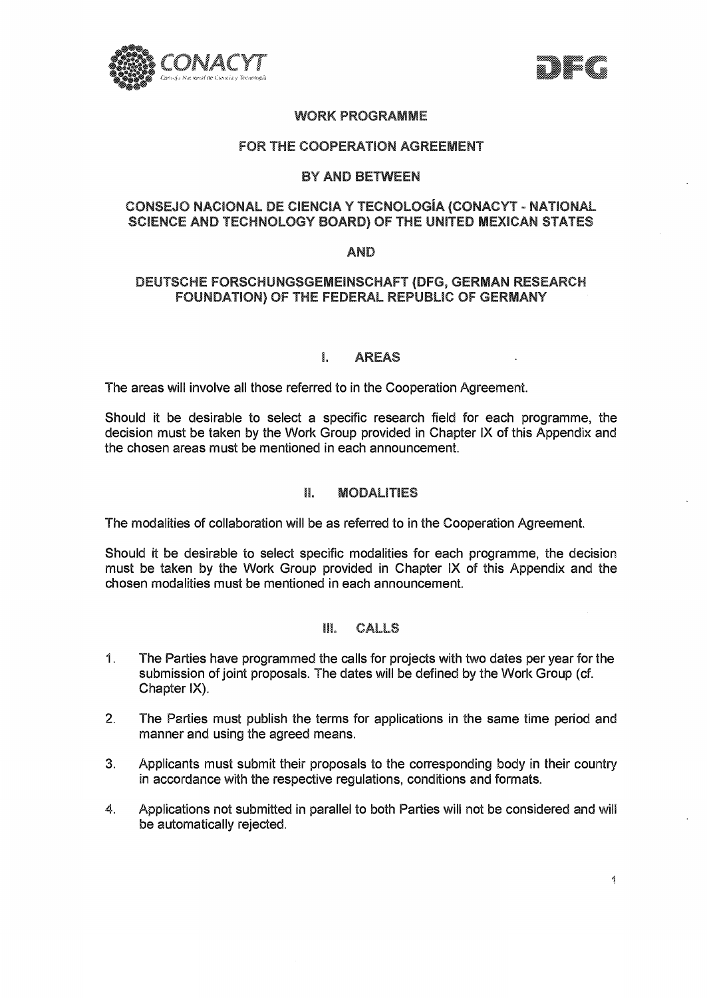



# **WORK PROGRAMME**

## **FOR THE COOPERATION AGREEMENT**

## **BY AND BETWEEN**

## **CONSEJO NACIONAL DE CIENCIA Y TECNOLOGIA (CONACYT - NATIONAL SCIENCE AND TECHNOLOGY BOARD) OF THE UNITED MEXICAN STATES**

## **AND**

## **DEUTSCHE FORSCHUNGSGEEEINSCHAFT (DFG, GERMAN RESEARCH FOUNDATION) OF THE FEDERAL REPUBLIC OF GERMANY**

## L **AREAS**

The areas will involve all those referred to in the Cooperation Agreement.

Should it be desirable to select a specific research field for each programme, the decision must be taken by the Work Group provided in Chapter IX of this Appendix and the chosen areas must be mentioned in each announcement.

### **Ilo MODALITIES**

The modalities of collaboration will be as referred to in the Cooperation Agreement.

Should it be desirable to select specific modalities for each programme, the decision must be taken by the Work Group provided in Chapter IX of this Appendix and the chosen modalities must be mentioned in each announcement.

#### HL **CALLS**

- 1. The Parties have programmed the calls for projects with two dates per year for the submission of joint proposals. The dates will be defined by the Work Group (cf. Chapter IX).
- $2.$ The Parties must publish the terms for applications in the same time period and manner and using the agreed means.
- 3. Applicants must submit their proposals to the corresponding body in their country in accordance with the respective regulations, conditions and formats.
- 4. Applications not submitted in parallel to both Parties will not be considered and will be automatically rejected.

 $\P$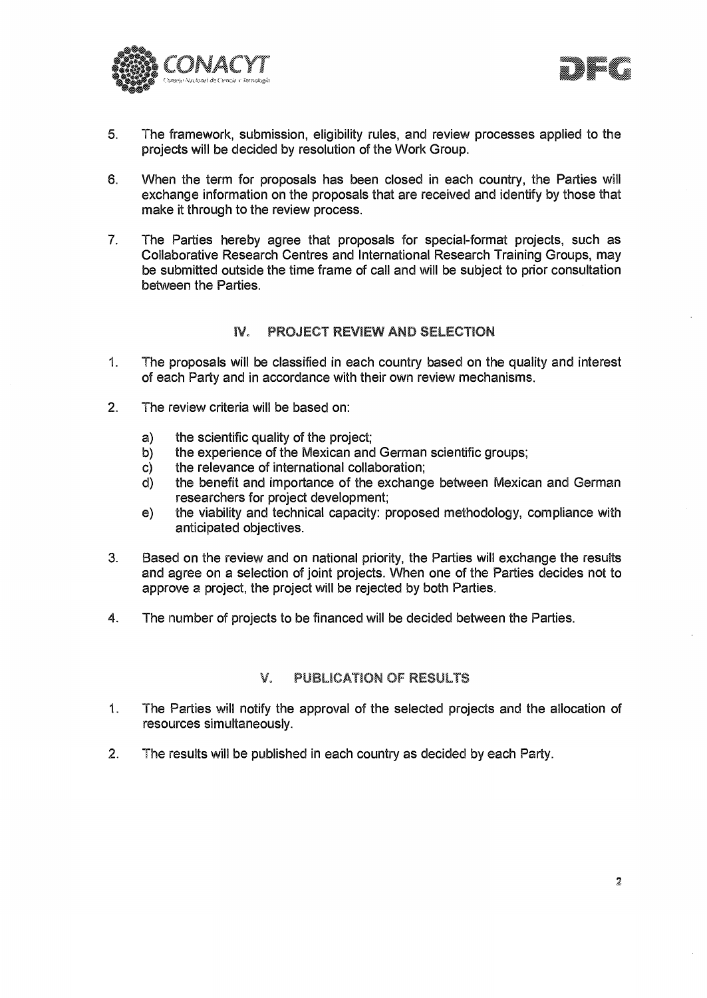



- 5. The framework, submission, eligibility rules, and review processes applied to the projects will be decided by resolution of the Work Group.
- 6. When the term for proposals has been closed in each country, the Parties will exchange information on the proposals that are received and identify by those that make it through to the review process.
- 7. The Parties hereby agree that proposals for special-format projects, such as Collaborative Research Centres and International Research Training Groups, may be submitted outside the time frame of call and will be subject to prior consultation between the Parties.

# **IV. PROJECT REVIEW AND SELECTION**

- 1. The proposals will be classified in each country based on the quality and interest of each Party and in accordance with their own review mechanisms.
- 2. The review criteria will be based on:
	- a) the scientific quality of the project;
	- b) the experience of the Mexican and German scientific groups;
	- c) the relevance of international collaboration;
	- d) the benefit and importance of the exchange between Mexican and German researchers for project development;
	- e) the viability and technical capacity: proposed methodology, compliance with anticipated objectives.
- 3. Based on the review and on national priority, the Parties will exchange the results and agree on a selection of joint projects. When one of the Parties decides not to approve a project, the project will be rejected by both Parties.
- 4. The number of projects to be financed will be decided between the Parties.

#### V. **PUBLICATION OF RESULTS**

- 1. The Parties will notify the approval of the selected projects and the allocation of resources simultaneously.
- 2. The results will be published in each country as decided by each Party.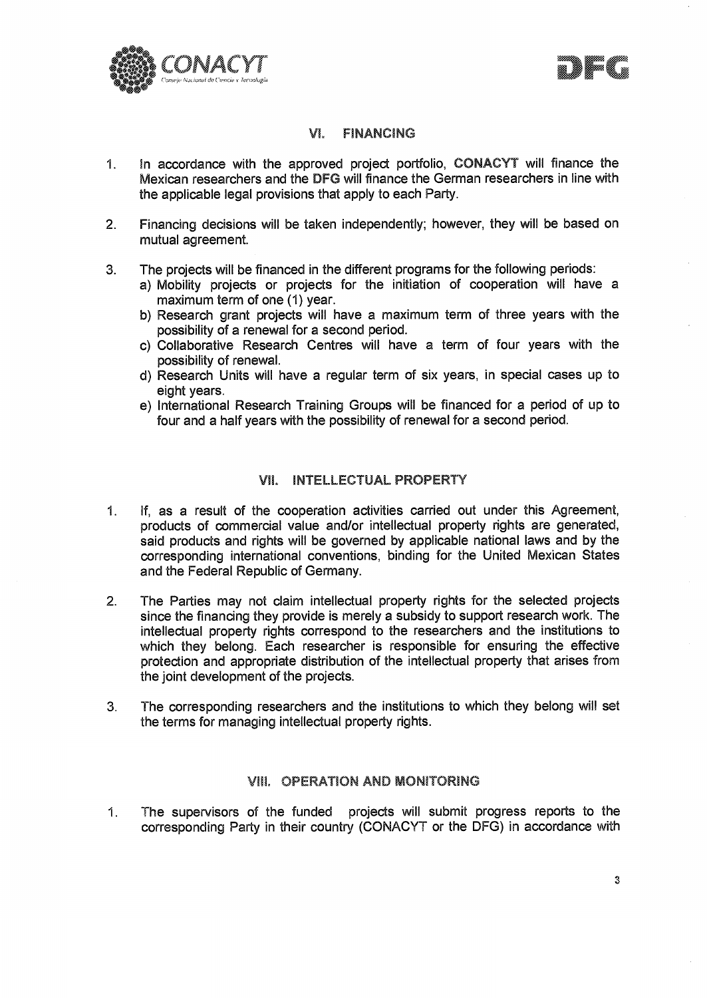



## **VI.** FINANCING

- 1. In accordance with the approved project portfolio, CONACYT will finance the Mexican researchers and the **DFG** will finance the German researchers in line with the applicable legal provisions that apply to each Party.
- 2. Financing decisions will be taken independently; however, they will be based on mutual agreement.
- 3. The projects will be financed in the different programs for the following periods:
	- a) Mobility projects or projects for the initiation of cooperation will have a maximum term of one (1) year.
	- b) Research grant projects will have a maximum term of three years with the possibility of a renewal for a second period.
	- c) Collaborative Research Centres will have a term of four years with the possibility of renewal.
	- d) Research Units will have a regular term of six years, in special cases up to eight years.
	- e) International Research Training Groups will be financed for a period of up to four and a half years with the possibility of renewal for a second period.

## **VIL INTELLECTUAL PROPERTY**

- 1. If, as a result of the cooperation activities carried out under this Agreement, products of commercial value and/or intellectual property rights are generated, said products and rights will be governed by applicable national laws and by the corresponding international conventions, binding for the United Mexican States and the Federal Republic of Germany.
- 2. The Parties may not claim intellectual property rights for the selected projects since the financing they provide is merely a subsidy to support research work. The intellectual property rights correspond to the researchers and the institutions to which they belong. Each researcher is responsible for ensuring the effective protection and appropriate distribution of the intellectual property that arises from the joint development of the projects.
- 3. The corresponding researchers and the institutions to which they belong will set the terms for managing intellectual property rights.

# **VIII. OPERATION AND MONITORING**

1. The supervisors of the funded projects will submit progress reports to the corresponding Party in their country (CONACYT or the DFG) in accordance with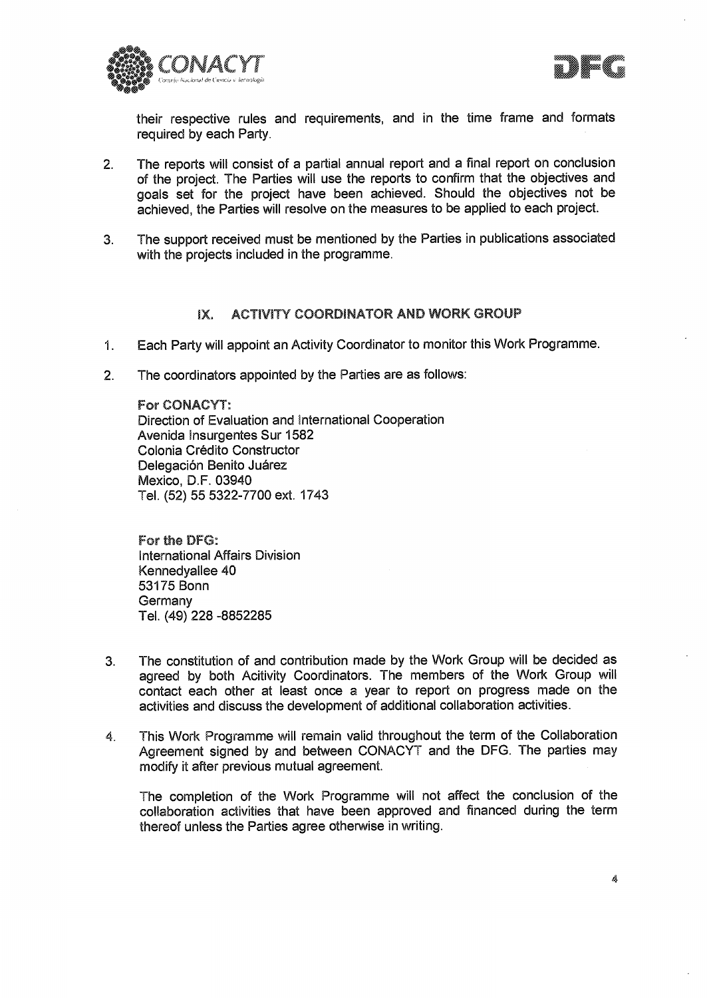



their respective rules and requirements, and in the time frame and formats required by each Party.

- 2. The reports will consist of a partial annual report and a final report on conclusion of the project. The Parties will use the reports to confirm that the objectives and goals set for the project have been achieved. Should the objectives not be achieved, the Parties will resolve on the measures to be applied to each project.
- 3. The support received must be mentioned by the Parties in publications associated with the projects included in the programme.

## **IX. ACTIVITY COORDINATOR AND WORK GROUP**

- 1. Each Party will appoint an Activity Coordinator to monitor this Work Programme.
- 2. The coordinators appointed by the Parties are as follows:

For CONACYT: Direction of Evaluation and international Cooperation Avenida Insurgentes Sur 1582 Colonia Crédito Constructor Delegación Benito Juárez Mexico, D.F. 03940 Tel. (52) 55 5322-7700 ext. 1743

For the DFG: International Affairs Division Kennedyallee 40 53175 Bonn **Germany** Tel. (49) 228 -8852285

- 3. The constitution of and contribution made by the Work Group will be decided as agreed by both Acitivity Coordinators. The members of the Work Group will contact each other at least once a year to report on progress made on the activities and discuss the development of additional collaboration activities.
- 4. This Work Programme will remain valid throughout the term of the Collaboration Agreement signed by and between CONACYT and the DFG. The parties may modify it after previous mutual agreement.

The completion of the Work Programme will not affect the conclusion of the collaboration activities that have been approved and financed during the term thereof unless the Parties agree otherwise in writing.